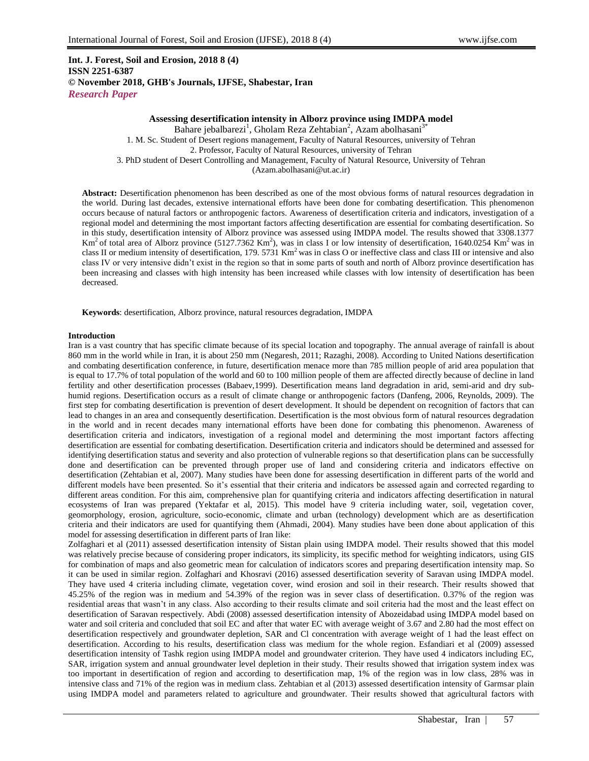# **Int. J. Forest, Soil and Erosion, 2018 8 (4) ISSN 2251-6387 © November 2018, GHB's Journals, IJFSE, Shabestar, Iran** *Research Paper*

## **Assessing desertification intensity in Alborz province using IMDPA model**

Bahare jebalbarezi<sup>1</sup>, Gholam Reza Zehtabian<sup>2</sup>, Azam abolhasani<sup>3\*</sup> 1. M. Sc. Student of Desert regions management, Faculty of Natural Resources, university of Tehran 2. Professor, Faculty of Natural Resources, university of Tehran 3. PhD student of Desert Controlling and Management, Faculty of Natural Resource, University of Tehran (Azam.abolhasani@ut.ac.ir)

**Abstract:** Desertification phenomenon has been described as one of the most obvious forms of natural resources degradation in the world. During last decades, extensive international efforts have been done for combating desertification. This phenomenon occurs because of natural factors or anthropogenic factors. Awareness of desertification criteria and indicators, investigation of a regional model and determining the most important factors affecting desertification are essential for combating desertification. So in this study, desertification intensity of Alborz province was assessed using IMDPA model. The results showed that 3308.1377 Km<sup>2</sup> of total area of Alborz province (5127.7362 Km<sup>2</sup>), was in class I or low intensity of desertification, 1640.0254 Km<sup>2</sup> was in class II or medium intensity of desertification, 179.  $5731 \text{ km}^2$  was in class O or ineffective class and class III or intensive and also class IV or very intensive didn't exist in the region so that in some parts of south and north of Alborz province desertification has been increasing and classes with high intensity has been increased while classes with low intensity of desertification has been decreased.

**Keywords**: desertification, Alborz province, natural resources degradation, IMDPA

#### **Introduction**

Iran is a vast country that has specific climate because of its special location and topography. The annual average of rainfall is about 860 mm in the world while in Iran, it is about 250 mm (Negaresh, 2011; Razaghi, 2008). According to United Nations desertification and combating desertification conference, in future, desertification menace more than 785 million people of arid area population that is equal to 17.7% of total population of the world and 60 to 100 million people of them are affected directly because of decline in land fertility and other desertification processes (Babaev,1999). Desertification means land degradation in arid, semi-arid and dry subhumid regions. Desertification occurs as a result of climate change or anthropogenic factors (Danfeng, 2006, Reynolds, 2009). The first step for combating desertification is prevention of desert development. It should be dependent on recognition of factors that can lead to changes in an area and consequently desertification. Desertification is the most obvious form of natural resources degradation in the world and in recent decades many international efforts have been done for combating this phenomenon. Awareness of desertification criteria and indicators, investigation of a regional model and determining the most important factors affecting desertification are essential for combating desertification. Desertification criteria and indicators should be determined and assessed for identifying desertification status and severity and also protection of vulnerable regions so that desertification plans can be successfully done and desertification can be prevented through proper use of land and considering criteria and indicators effective on desertification (Zehtabian et al, 2007). Many studies have been done for assessing desertification in different parts of the world and different models have been presented. So it's essential that their criteria and indicators be assessed again and corrected regarding to different areas condition. For this aim, comprehensive plan for quantifying criteria and indicators affecting desertification in natural ecosystems of Iran was prepared (Yektafar et al, 2015). This model have 9 criteria including water, soil, vegetation cover, geomorphology, erosion, agriculture, socio-economic, climate and urban (technology) development which are as desertification criteria and their indicators are used for quantifying them (Ahmadi, 2004). Many studies have been done about application of this model for assessing desertification in different parts of Iran like:

Zolfaghari et al (2011) assessed desertification intensity of Sistan plain using IMDPA model. Their results showed that this model was relatively precise because of considering proper indicators, its simplicity, its specific method for weighting indicators, using GIS for combination of maps and also geometric mean for calculation of indicators scores and preparing desertification intensity map. So it can be used in similar region. Zolfaghari and Khosravi (2016) assessed desertification severity of Saravan using IMDPA model. They have used 4 criteria including climate, vegetation cover, wind erosion and soil in their research. Their results showed that 45.25% of the region was in medium and 54.39% of the region was in sever class of desertification. 0.37% of the region was residential areas that wasn't in any class. Also according to their results climate and soil criteria had the most and the least effect on desertification of Saravan respectively. Abdi (2008) assessed desertification intensity of Abozeidabad using IMDPA model based on water and soil criteria and concluded that soil EC and after that water EC with average weight of 3.67 and 2.80 had the most effect on desertification respectively and groundwater depletion, SAR and Cl concentration with average weight of 1 had the least effect on desertification. According to his results, desertification class was medium for the whole region. Esfandiari et al (2009) assessed desertification intensity of Tashk region using IMDPA model and groundwater criterion. They have used 4 indicators including EC, SAR, irrigation system and annual groundwater level depletion in their study. Their results showed that irrigation system index was too important in desertification of region and according to desertification map, 1% of the region was in low class, 28% was in intensive class and 71% of the region was in medium class. Zehtabian et al (2013) assessed desertification intensity of Garmsar plain using IMDPA model and parameters related to agriculture and groundwater. Their results showed that agricultural factors with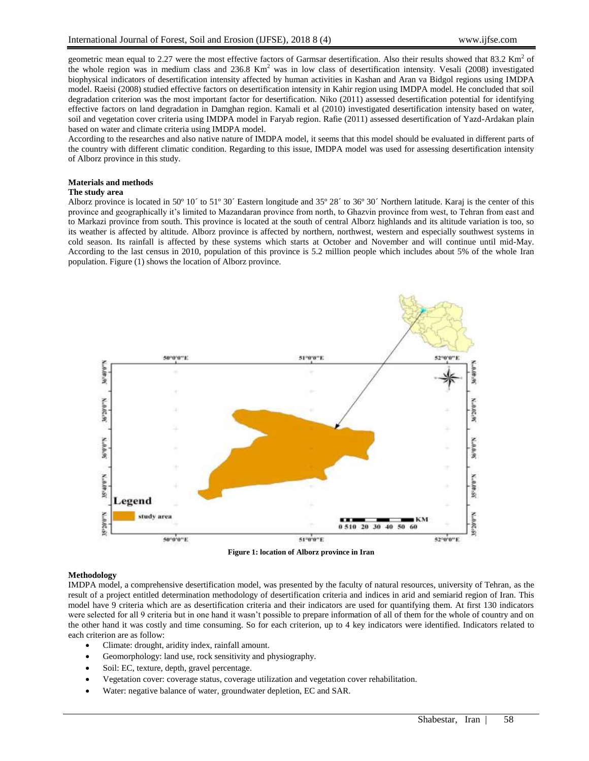geometric mean equal to 2.27 were the most effective factors of Garmsar desertification. Also their results showed that  $83.2 \text{ Km}^2$  of the whole region was in medium class and  $236.8 \text{ Km}^2$  was in low class of desertification intensity. Vesali (2008) investigated biophysical indicators of desertification intensity affected by human activities in Kashan and Aran va Bidgol regions using IMDPA model. Raeisi (2008) studied effective factors on desertification intensity in Kahir region using IMDPA model. He concluded that soil degradation criterion was the most important factor for desertification. Niko (2011) assessed desertification potential for identifying effective factors on land degradation in Damghan region. Kamali et al (2010) investigated desertification intensity based on water, soil and vegetation cover criteria using IMDPA model in Faryab region. Rafie (2011) assessed desertification of Yazd-Ardakan plain based on water and climate criteria using IMDPA model.

According to the researches and also native nature of IMDPA model, it seems that this model should be evaluated in different parts of the country with different climatic condition. Regarding to this issue, IMDPA model was used for assessing desertification intensity of Alborz province in this study.

#### **Materials and methods**

#### **The study area**

Alborz province is located in 50º 10´ to 51º 30´ Eastern longitude and 35º 28´ to 36º 30´ Northern latitude. Karaj is the center of this province and geographically it's limited to Mazandaran province from north, to Ghazvin province from west, to Tehran from east and to Markazi province from south. This province is located at the south of central Alborz highlands and its altitude variation is too, so its weather is affected by altitude. Alborz province is affected by northern, northwest, western and especially southwest systems in cold season. Its rainfall is affected by these systems which starts at October and November and will continue until mid-May. According to the last census in 2010, population of this province is 5.2 million people which includes about 5% of the whole Iran population. Figure (1) shows the location of Alborz province.



**Figure 1: location of Alborz province in Iran**

### **Methodology**

IMDPA model, a comprehensive desertification model, was presented by the faculty of natural resources, university of Tehran, as the result of a project entitled determination methodology of desertification criteria and indices in arid and semiarid region of Iran. This model have 9 criteria which are as desertification criteria and their indicators are used for quantifying them. At first 130 indicators were selected for all 9 criteria but in one hand it wasn't possible to prepare information of all of them for the whole of country and on the other hand it was costly and time consuming. So for each criterion, up to 4 key indicators were identified. Indicators related to each criterion are as follow:

- Climate: drought, aridity index, rainfall amount.
- Geomorphology: land use, rock sensitivity and physiography.
- Soil: EC, texture, depth, gravel percentage.
- Vegetation cover: coverage status, coverage utilization and vegetation cover rehabilitation.
- Water: negative balance of water, groundwater depletion, EC and SAR.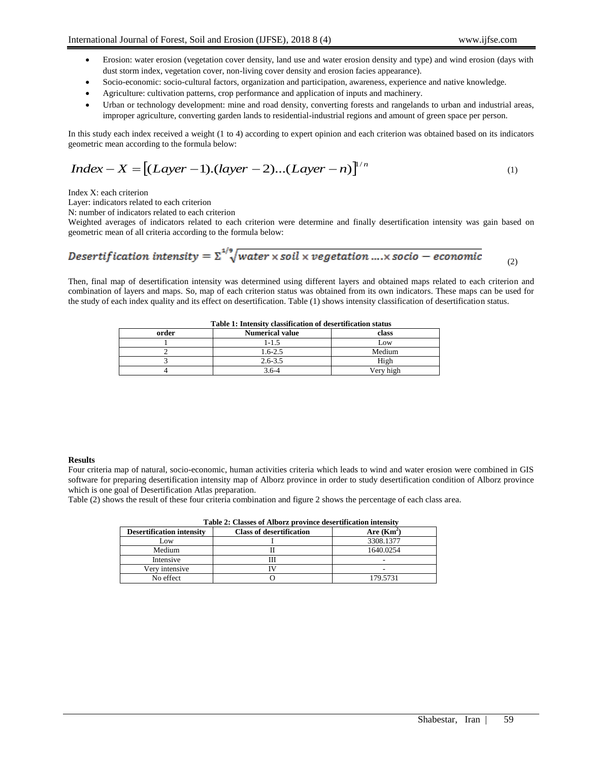- Erosion: water erosion (vegetation cover density, land use and water erosion density and type) and wind erosion (days with dust storm index, vegetation cover, non-living cover density and erosion facies appearance).
- Socio-economic: socio-cultural factors, organization and participation, awareness, experience and native knowledge.
- Agriculture: cultivation patterns, crop performance and application of inputs and machinery.
- Urban or technology development: mine and road density, converting forests and rangelands to urban and industrial areas, improper agriculture, converting garden lands to residential-industrial regions and amount of green space per person.

In this study each index received a weight (1 to 4) according to expert opinion and each criterion was obtained based on its indicators geometric mean according to the formula below:

$$
Index - X = [(Layer - 1).(layer - 2)...(Layer - n)]^{n}
$$
\n(1)

Index X: each criterion

Layer: indicators related to each criterion

N: number of indicators related to each criterion

Weighted averages of indicators related to each criterion were determine and finally desertification intensity was gain based on geometric mean of all criteria according to the formula below:

Desertification intensity = 
$$
\sum_{1/2}^{1/2} \sqrt{\text{water} \times \text{solid} \times \text{regetation} \dots \times \text{socio} - \text{economic}}
$$
 (2)

Then, final map of desertification intensity was determined using different layers and obtained maps related to each criterion and combination of layers and maps. So, map of each criterion status was obtained from its own indicators. These maps can be used for the study of each index quality and its effect on desertification. Table (1) shows intensity classification of desertification status.

| <b>Table 1: Intensity classification of desertification status</b> |                        |           |
|--------------------------------------------------------------------|------------------------|-----------|
| order                                                              | <b>Numerical value</b> | class     |
|                                                                    | 1-1.5                  | Low       |
|                                                                    | $1.6 - 2.5$            | Medium    |
|                                                                    | $2.6 - 3.5$            | High      |
|                                                                    | 3.6-4                  | Verv high |

# **Table 1: Intensity classification of desertification status**

## **Results**

Four criteria map of natural, socio-economic, human activities criteria which leads to wind and water erosion were combined in GIS software for preparing desertification intensity map of Alborz province in order to study desertification condition of Alborz province which is one goal of Desertification Atlas preparation.

Table (2) shows the result of these four criteria combination and figure 2 shows the percentage of each class area.

| <b>Desertification intensity</b> | <b>Class of desertification</b> | Are $(Km^2)$ |  |
|----------------------------------|---------------------------------|--------------|--|
| Low                              |                                 | 3308.1377    |  |
| Medium                           |                                 | 1640.0254    |  |
| Intensive                        |                                 |              |  |
| Very intensive                   |                                 |              |  |
| No effect                        |                                 | 179.5731     |  |

| Table 2: Classes of Alborz province desertification intensity |  |
|---------------------------------------------------------------|--|
|---------------------------------------------------------------|--|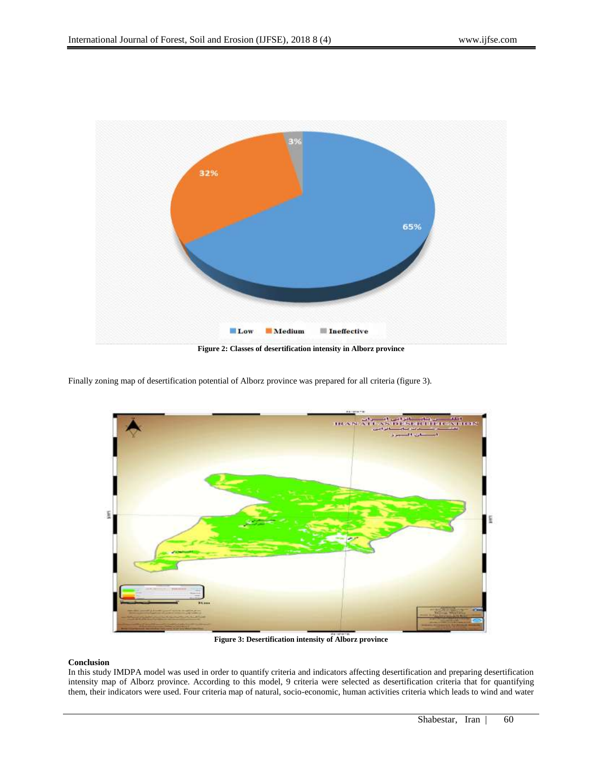

Finally zoning map of desertification potential of Alborz province was prepared for all criteria (figure 3).



**Figure 3: Desertification intensity of Alborz province**

## **Conclusion**

In this study IMDPA model was used in order to quantify criteria and indicators affecting desertification and preparing desertification intensity map of Alborz province. According to this model, 9 criteria were selected as desertification criteria that for quantifying them, their indicators were used. Four criteria map of natural, socio-economic, human activities criteria which leads to wind and water